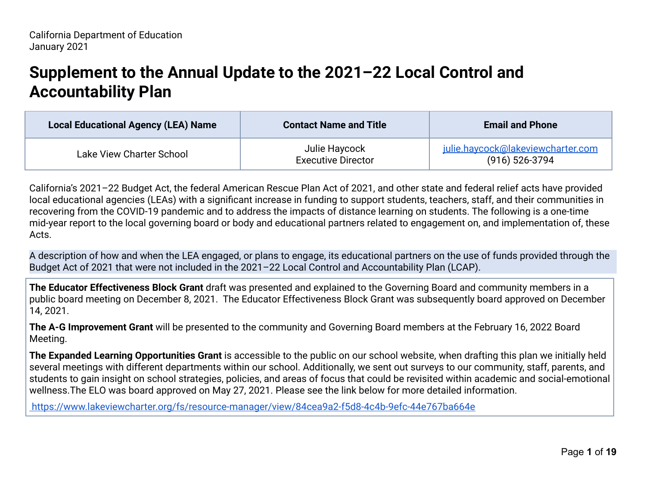# **Supplement to the Annual Update to the 2021–22 Local Control and Accountability Plan**

| <b>Local Educational Agency (LEA) Name</b> | <b>Contact Name and Title</b>              | <b>Email and Phone</b>                                  |
|--------------------------------------------|--------------------------------------------|---------------------------------------------------------|
| Lake View Charter School                   | Julie Haycock<br><b>Executive Director</b> | julie.haycock@lakeviewcharter.com<br>$(916) 526 - 3794$ |

California's 2021–22 Budget Act, the federal American Rescue Plan Act of 2021, and other state and federal relief acts have provided local educational agencies (LEAs) with a significant increase in funding to support students, teachers, staff, and their communities in recovering from the COVID-19 pandemic and to address the impacts of distance learning on students. The following is a one-time mid-year report to the local governing board or body and educational partners related to engagement on, and implementation of, these Acts.

A description of how and when the LEA engaged, or plans to engage, its educational partners on the use of funds provided through the Budget Act of 2021 that were not included in the 2021–22 Local Control and Accountability Plan (LCAP).

**The Educator Effectiveness Block Grant** draft was presented and explained to the Governing Board and community members in a public board meeting on December 8, 2021. The Educator Effectiveness Block Grant was subsequently board approved on December 14, 2021.

**The A-G Improvement Grant** will be presented to the community and Governing Board members at the February 16, 2022 Board Meeting.

**The Expanded Learning Opportunities Grant** is accessible to the public on our school website, when drafting this plan we initially held several meetings with different departments within our school. Additionally, we sent out surveys to our community, staff, parents, and students to gain insight on school strategies, policies, and areas of focus that could be revisited within academic and social-emotional wellness.The ELO was board approved on May 27, 2021. Please see the link below for more detailed information.

<https://www.lakeviewcharter.org/fs/resource-manager/view/84cea9a2-f5d8-4c4b-9efc-44e767ba664e>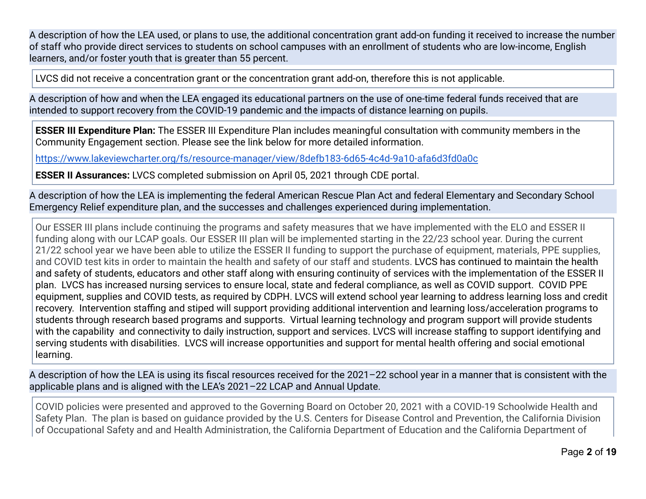A description of how the LEA used, or plans to use, the additional concentration grant add-on funding it received to increase the number of staff who provide direct services to students on school campuses with an enrollment of students who are low-income, English learners, and/or foster youth that is greater than 55 percent.

LVCS did not receive a concentration grant or the concentration grant add-on, therefore this is not applicable.

A description of how and when the LEA engaged its educational partners on the use of one-time federal funds received that are intended to support recovery from the COVID-19 pandemic and the impacts of distance learning on pupils.

**ESSER III Expenditure Plan:** The ESSER III Expenditure Plan includes meaningful consultation with community members in the Community Engagement section. Please see the link below for more detailed information.

<https://www.lakeviewcharter.org/fs/resource-manager/view/8defb183-6d65-4c4d-9a10-afa6d3fd0a0c>

**ESSER II Assurances:** LVCS completed submission on April 05, 2021 through CDE portal.

A description of how the LEA is implementing the federal American Rescue Plan Act and federal Elementary and Secondary School Emergency Relief expenditure plan, and the successes and challenges experienced during implementation.

Our ESSER III plans include continuing the programs and safety measures that we have implemented with the ELO and ESSER II funding along with our LCAP goals. Our ESSER III plan will be implemented starting in the 22/23 school year. During the current 21/22 school year we have been able to utilize the ESSER II funding to support the purchase of equipment, materials, PPE supplies, and COVID test kits in order to maintain the health and safety of our staff and students. LVCS has continued to maintain the health and safety of students, educators and other staff along with ensuring continuity of services with the implementation of the ESSER II plan. LVCS has increased nursing services to ensure local, state and federal compliance, as well as COVID support. COVID PPE equipment, supplies and COVID tests, as required by CDPH. LVCS will extend school year learning to address learning loss and credit recovery. Intervention staffing and stiped will support providing additional intervention and learning loss/acceleration programs to students through research based programs and supports. Virtual learning technology and program support will provide students with the capability and connectivity to daily instruction, support and services. LVCS will increase staffing to support identifying and serving students with disabilities. LVCS will increase opportunities and support for mental health offering and social emotional learning.

A description of how the LEA is using its fiscal resources received for the 2021–22 school year in a manner that is consistent with the applicable plans and is aligned with the LEA's 2021–22 LCAP and Annual Update.

COVID policies were presented and approved to the Governing Board on October 20, 2021 with a COVID-19 Schoolwide Health and Safety Plan. The plan is based on guidance provided by the U.S. Centers for Disease Control and Prevention, the California Division of Occupational Safety and and Health Administration, the California Department of Education and the California Department of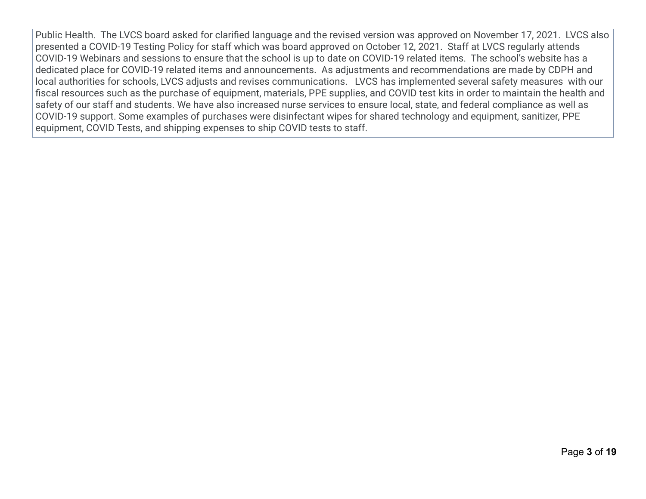Public Health. The LVCS board asked for clarified language and the revised version was approved on November 17, 2021. LVCS also presented a COVID-19 Testing Policy for staff which was board approved on October 12, 2021. Staff at LVCS regularly attends COVID-19 Webinars and sessions to ensure that the school is up to date on COVID-19 related items. The school's website has a dedicated place for COVID-19 related items and announcements. As adjustments and recommendations are made by CDPH and local authorities for schools, LVCS adjusts and revises communications. LVCS has implemented several safety measures with our fiscal resources such as the purchase of equipment, materials, PPE supplies, and COVID test kits in order to maintain the health and safety of our staff and students. We have also increased nurse services to ensure local, state, and federal compliance as well as COVID-19 support. Some examples of purchases were disinfectant wipes for shared technology and equipment, sanitizer, PPE equipment, COVID Tests, and shipping expenses to ship COVID tests to staff.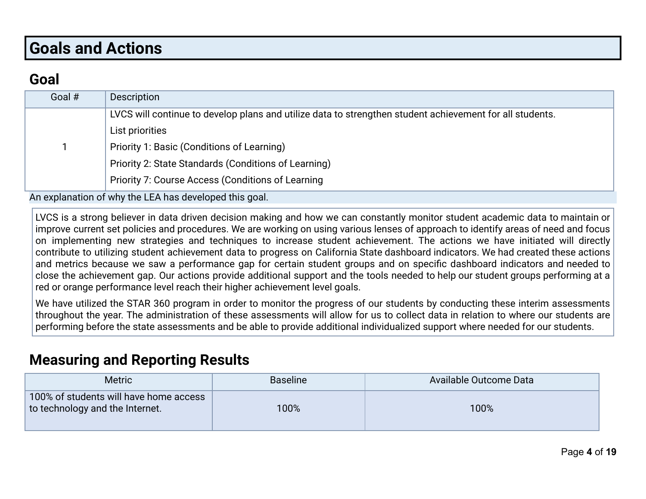# **Goals and Actions**

### **Goal**

| Description                                                                                              |
|----------------------------------------------------------------------------------------------------------|
| LVCS will continue to develop plans and utilize data to strengthen student achievement for all students. |
| List priorities                                                                                          |
| Priority 1: Basic (Conditions of Learning)                                                               |
| Priority 2: State Standards (Conditions of Learning)                                                     |
| Priority 7: Course Access (Conditions of Learning                                                        |
|                                                                                                          |

An explanation of why the LEA has developed this goal.

LVCS is a strong believer in data driven decision making and how we can constantly monitor student academic data to maintain or improve current set policies and procedures. We are working on using various lenses of approach to identify areas of need and focus on implementing new strategies and techniques to increase student achievement. The actions we have initiated will directly contribute to utilizing student achievement data to progress on California State dashboard indicators. We had created these actions and metrics because we saw a performance gap for certain student groups and on specific dashboard indicators and needed to close the achievement gap. Our actions provide additional support and the tools needed to help our student groups performing at a red or orange performance level reach their higher achievement level goals.

We have utilized the STAR 360 program in order to monitor the progress of our students by conducting these interim assessments throughout the year. The administration of these assessments will allow for us to collect data in relation to where our students are performing before the state assessments and be able to provide additional individualized support where needed for our students.

#### **Measuring and Reporting Results**

| <b>Metric</b>                                                             | <b>Baseline</b> | Available Outcome Data |
|---------------------------------------------------------------------------|-----------------|------------------------|
| 100% of students will have home access<br>to technology and the Internet. | 100%            | 100%                   |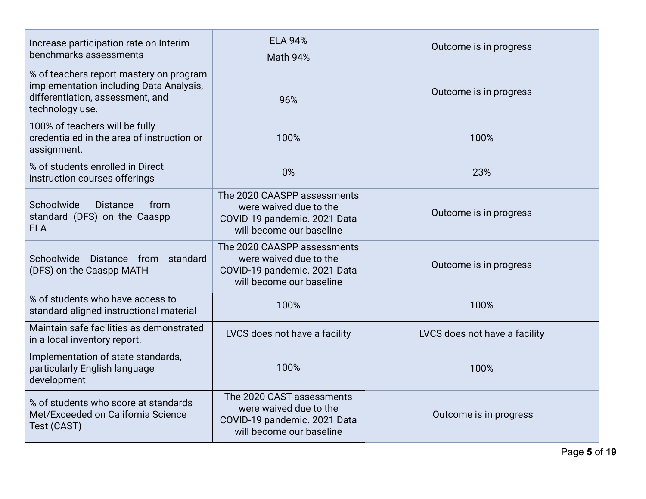| Increase participation rate on Interim<br>benchmarks assessments                                                                          | <b>ELA 94%</b><br><b>Math 94%</b>                                                                                 | Outcome is in progress        |
|-------------------------------------------------------------------------------------------------------------------------------------------|-------------------------------------------------------------------------------------------------------------------|-------------------------------|
| % of teachers report mastery on program<br>implementation including Data Analysis,<br>differentiation, assessment, and<br>technology use. | 96%                                                                                                               | Outcome is in progress        |
| 100% of teachers will be fully<br>credentialed in the area of instruction or<br>assignment.                                               | 100%                                                                                                              | 100%                          |
| % of students enrolled in Direct<br>instruction courses offerings                                                                         | 0%                                                                                                                | 23%                           |
| Schoolwide<br><b>Distance</b><br>from<br>standard (DFS) on the Caaspp<br><b>ELA</b>                                                       | The 2020 CAASPP assessments<br>were waived due to the<br>COVID-19 pandemic. 2021 Data<br>will become our baseline | Outcome is in progress        |
| Schoolwide<br>Distance from standard<br>(DFS) on the Caaspp MATH                                                                          | The 2020 CAASPP assessments<br>were waived due to the<br>COVID-19 pandemic. 2021 Data<br>will become our baseline | Outcome is in progress        |
| % of students who have access to<br>standard aligned instructional material                                                               | 100%                                                                                                              | 100%                          |
| Maintain safe facilities as demonstrated<br>in a local inventory report.                                                                  | LVCS does not have a facility                                                                                     | LVCS does not have a facility |
| Implementation of state standards,<br>particularly English language<br>development                                                        | 100%                                                                                                              | 100%                          |
| % of students who score at standards<br>Met/Exceeded on California Science<br>Test (CAST)                                                 | The 2020 CAST assessments<br>were waived due to the<br>COVID-19 pandemic. 2021 Data<br>will become our baseline   | Outcome is in progress        |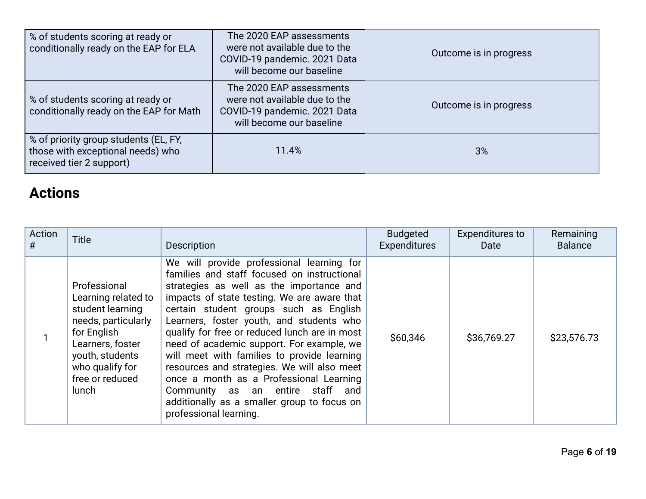| % of students scoring at ready or<br>conditionally ready on the EAP for ELA                            | The 2020 EAP assessments<br>were not available due to the<br>COVID-19 pandemic. 2021 Data<br>will become our baseline | Outcome is in progress |
|--------------------------------------------------------------------------------------------------------|-----------------------------------------------------------------------------------------------------------------------|------------------------|
| % of students scoring at ready or<br>conditionally ready on the EAP for Math                           | The 2020 EAP assessments<br>were not available due to the<br>COVID-19 pandemic. 2021 Data<br>will become our baseline | Outcome is in progress |
| % of priority group students (EL, FY,<br>those with exceptional needs) who<br>received tier 2 support) | 11.4%                                                                                                                 | 3%                     |

### **Actions**

| Action<br># | <b>Title</b>                                                                                                                                                                        | <b>Description</b>                                                                                                                                                                                                                                                                                                                                                                                                                                                                                                                                                                                                            | <b>Budgeted</b><br><b>Expenditures</b> | <b>Expenditures to</b><br>Date | Remaining<br><b>Balance</b> |
|-------------|-------------------------------------------------------------------------------------------------------------------------------------------------------------------------------------|-------------------------------------------------------------------------------------------------------------------------------------------------------------------------------------------------------------------------------------------------------------------------------------------------------------------------------------------------------------------------------------------------------------------------------------------------------------------------------------------------------------------------------------------------------------------------------------------------------------------------------|----------------------------------------|--------------------------------|-----------------------------|
|             | Professional<br>Learning related to<br>student learning<br>needs, particularly<br>for English<br>Learners, foster<br>youth, students<br>who qualify for<br>free or reduced<br>lunch | We will provide professional learning for<br>families and staff focused on instructional<br>strategies as well as the importance and<br>impacts of state testing. We are aware that<br>certain student groups such as English<br>Learners, foster youth, and students who<br>qualify for free or reduced lunch are in most<br>need of academic support. For example, we<br>will meet with families to provide learning<br>resources and strategies. We will also meet<br>once a month as a Professional Learning<br>Community as an entire staff and<br>additionally as a smaller group to focus on<br>professional learning. | \$60,346                               | \$36,769.27                    | \$23,576.73                 |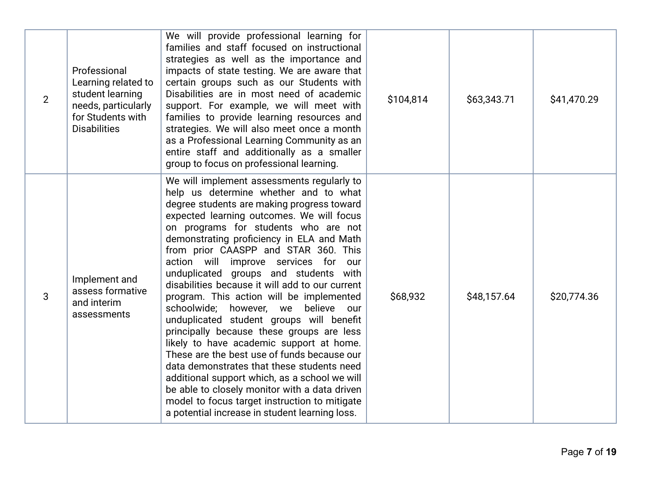| $\overline{2}$ | Professional<br>Learning related to<br>student learning<br>needs, particularly<br>for Students with<br><b>Disabilities</b> | We will provide professional learning for<br>families and staff focused on instructional<br>strategies as well as the importance and<br>impacts of state testing. We are aware that<br>certain groups such as our Students with<br>Disabilities are in most need of academic<br>support. For example, we will meet with<br>families to provide learning resources and<br>strategies. We will also meet once a month<br>as a Professional Learning Community as an<br>entire staff and additionally as a smaller<br>group to focus on professional learning.                                                                                                                                                                                                                                                                                                                                                                                                                  | \$104,814 | \$63,343.71 | \$41,470.29 |
|----------------|----------------------------------------------------------------------------------------------------------------------------|------------------------------------------------------------------------------------------------------------------------------------------------------------------------------------------------------------------------------------------------------------------------------------------------------------------------------------------------------------------------------------------------------------------------------------------------------------------------------------------------------------------------------------------------------------------------------------------------------------------------------------------------------------------------------------------------------------------------------------------------------------------------------------------------------------------------------------------------------------------------------------------------------------------------------------------------------------------------------|-----------|-------------|-------------|
| 3              | Implement and<br>assess formative<br>and interim<br>assessments                                                            | We will implement assessments regularly to<br>help us determine whether and to what<br>degree students are making progress toward<br>expected learning outcomes. We will focus<br>on programs for students who are not<br>demonstrating proficiency in ELA and Math<br>from prior CAASPP and STAR 360. This<br>action will improve services for<br>our<br>unduplicated groups and students with<br>disabilities because it will add to our current<br>program. This action will be implemented<br>schoolwide; however, we believe our<br>unduplicated student groups will benefit<br>principally because these groups are less<br>likely to have academic support at home.<br>These are the best use of funds because our<br>data demonstrates that these students need<br>additional support which, as a school we will<br>be able to closely monitor with a data driven<br>model to focus target instruction to mitigate<br>a potential increase in student learning loss. | \$68,932  | \$48,157.64 | \$20,774.36 |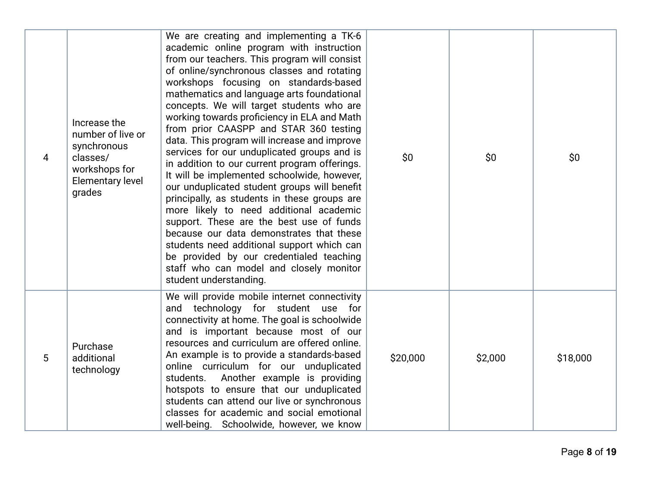| 4 | Increase the<br>number of live or<br>synchronous<br>classes/<br>workshops for<br><b>Elementary level</b><br>grades | We are creating and implementing a TK-6<br>academic online program with instruction<br>from our teachers. This program will consist<br>of online/synchronous classes and rotating<br>workshops focusing on standards-based<br>mathematics and language arts foundational<br>concepts. We will target students who are<br>working towards proficiency in ELA and Math<br>from prior CAASPP and STAR 360 testing<br>data. This program will increase and improve<br>services for our unduplicated groups and is<br>in addition to our current program offerings.<br>It will be implemented schoolwide, however,<br>our unduplicated student groups will benefit<br>principally, as students in these groups are<br>more likely to need additional academic<br>support. These are the best use of funds<br>because our data demonstrates that these<br>students need additional support which can<br>be provided by our credentialed teaching<br>staff who can model and closely monitor<br>student understanding. | \$0      | \$0     | \$0      |
|---|--------------------------------------------------------------------------------------------------------------------|-----------------------------------------------------------------------------------------------------------------------------------------------------------------------------------------------------------------------------------------------------------------------------------------------------------------------------------------------------------------------------------------------------------------------------------------------------------------------------------------------------------------------------------------------------------------------------------------------------------------------------------------------------------------------------------------------------------------------------------------------------------------------------------------------------------------------------------------------------------------------------------------------------------------------------------------------------------------------------------------------------------------|----------|---------|----------|
| 5 | Purchase<br>additional<br>technology                                                                               | We will provide mobile internet connectivity<br>and technology for student use for<br>connectivity at home. The goal is schoolwide<br>and is important because most of our<br>resources and curriculum are offered online.<br>An example is to provide a standards-based<br>online curriculum for our unduplicated<br>Another example is providing<br>students.<br>hotspots to ensure that our unduplicated<br>students can attend our live or synchronous<br>classes for academic and social emotional<br>well-being. Schoolwide, however, we know                                                                                                                                                                                                                                                                                                                                                                                                                                                             | \$20,000 | \$2,000 | \$18,000 |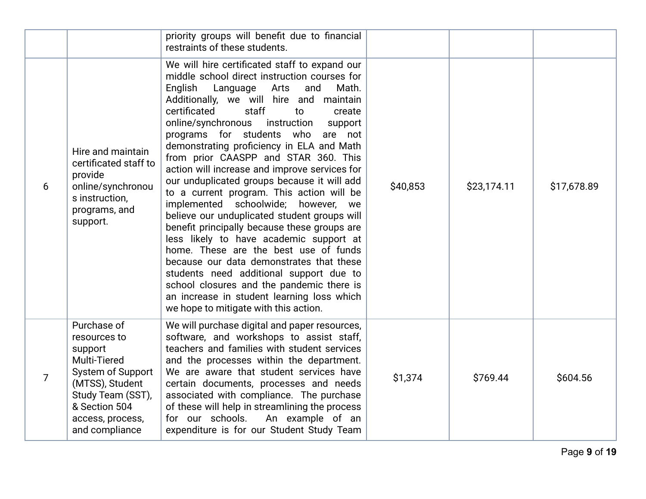|   |                                                                                                                                                                            | priority groups will benefit due to financial<br>restraints of these students.                                                                                                                                                                                                                                                                                                                                                                                                                                                                                                                                                                                                                                                                                                                                                                                                                                                                                                                                |          |             |             |
|---|----------------------------------------------------------------------------------------------------------------------------------------------------------------------------|---------------------------------------------------------------------------------------------------------------------------------------------------------------------------------------------------------------------------------------------------------------------------------------------------------------------------------------------------------------------------------------------------------------------------------------------------------------------------------------------------------------------------------------------------------------------------------------------------------------------------------------------------------------------------------------------------------------------------------------------------------------------------------------------------------------------------------------------------------------------------------------------------------------------------------------------------------------------------------------------------------------|----------|-------------|-------------|
| 6 | Hire and maintain<br>certificated staff to<br>provide<br>online/synchronou<br>s instruction,<br>programs, and<br>support.                                                  | We will hire certificated staff to expand our<br>middle school direct instruction courses for<br>English<br>Language Arts<br>and<br>Math.<br>Additionally, we will hire and maintain<br>certificated<br>staff<br>to<br>create<br>online/synchronous<br>instruction<br>support<br>programs for students who<br>are not<br>demonstrating proficiency in ELA and Math<br>from prior CAASPP and STAR 360. This<br>action will increase and improve services for<br>our unduplicated groups because it will add<br>to a current program. This action will be<br>implemented schoolwide; however, we<br>believe our unduplicated student groups will<br>benefit principally because these groups are<br>less likely to have academic support at<br>home. These are the best use of funds<br>because our data demonstrates that these<br>students need additional support due to<br>school closures and the pandemic there is<br>an increase in student learning loss which<br>we hope to mitigate with this action. | \$40,853 | \$23,174.11 | \$17,678.89 |
| 7 | Purchase of<br>resources to<br>support<br>Multi-Tiered<br>System of Support<br>(MTSS), Student<br>Study Team (SST),<br>& Section 504<br>access, process,<br>and compliance | We will purchase digital and paper resources,<br>software, and workshops to assist staff,<br>teachers and families with student services<br>and the processes within the department.<br>We are aware that student services have<br>certain documents, processes and needs<br>associated with compliance. The purchase<br>of these will help in streamlining the process<br>for our schools.<br>An example of an<br>expenditure is for our Student Study Team                                                                                                                                                                                                                                                                                                                                                                                                                                                                                                                                                  | \$1,374  | \$769.44    | \$604.56    |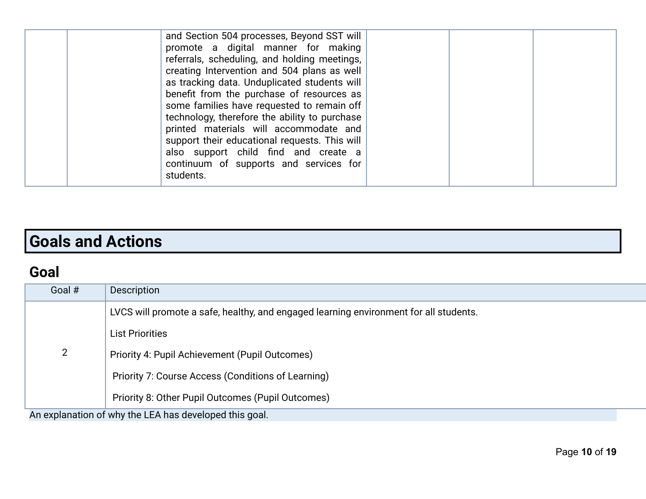| and Section 504 processes, Beyond SST will<br>promote a digital manner for making<br>referrals, scheduling, and holding meetings,<br>creating Intervention and 504 plans as well<br>as tracking data. Unduplicated students will<br>benefit from the purchase of resources as<br>some families have requested to remain off<br>technology, therefore the ability to purchase<br>printed materials will accommodate and<br>support their educational requests. This will<br>also support child find and create a<br>continuum of supports and services for<br>students. |  |
|------------------------------------------------------------------------------------------------------------------------------------------------------------------------------------------------------------------------------------------------------------------------------------------------------------------------------------------------------------------------------------------------------------------------------------------------------------------------------------------------------------------------------------------------------------------------|--|
|------------------------------------------------------------------------------------------------------------------------------------------------------------------------------------------------------------------------------------------------------------------------------------------------------------------------------------------------------------------------------------------------------------------------------------------------------------------------------------------------------------------------------------------------------------------------|--|

# **Goals and Actions**

### **Goal**

| Goal #                                                 | Description                                                                           |  |
|--------------------------------------------------------|---------------------------------------------------------------------------------------|--|
|                                                        | LVCS will promote a safe, healthy, and engaged learning environment for all students. |  |
|                                                        | <b>List Priorities</b>                                                                |  |
| $\overline{2}$                                         | Priority 4: Pupil Achievement (Pupil Outcomes)                                        |  |
|                                                        | Priority 7: Course Access (Conditions of Learning)                                    |  |
|                                                        | Priority 8: Other Pupil Outcomes (Pupil Outcomes)                                     |  |
| An explanation of why the LEA has developed this goal. |                                                                                       |  |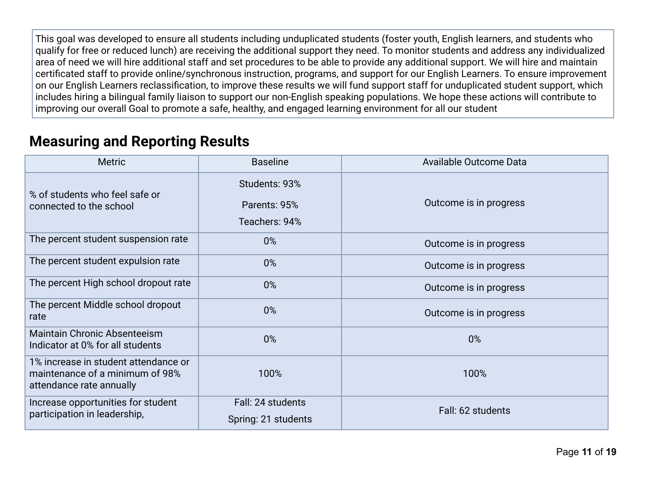This goal was developed to ensure all students including unduplicated students (foster youth, English learners, and students who qualify for free or reduced lunch) are receiving the additional support they need. To monitor students and address any individualized area of need we will hire additional staff and set procedures to be able to provide any additional support. We will hire and maintain certificated staff to provide online/synchronous instruction, programs, and support for our English Learners. To ensure improvement on our English Learners reclassification, to improve these results we will fund support staff for unduplicated student support, which includes hiring a bilingual family liaison to support our non-English speaking populations. We hope these actions will contribute to improving our overall Goal to promote a safe, healthy, and engaged learning environment for all our student

### **Measuring and Reporting Results**

| <b>Metric</b>                                                                                       | <b>Baseline</b>                                | Available Outcome Data |
|-----------------------------------------------------------------------------------------------------|------------------------------------------------|------------------------|
| % of students who feel safe or<br>connected to the school                                           | Students: 93%<br>Parents: 95%<br>Teachers: 94% | Outcome is in progress |
| The percent student suspension rate                                                                 | $0\%$                                          | Outcome is in progress |
| The percent student expulsion rate                                                                  | $0\%$                                          | Outcome is in progress |
| The percent High school dropout rate                                                                | $0\%$                                          | Outcome is in progress |
| The percent Middle school dropout<br>rate                                                           | 0%                                             | Outcome is in progress |
| <b>Maintain Chronic Absenteeism</b><br>Indicator at 0% for all students                             | $0\%$                                          | 0%                     |
| 1% increase in student attendance or<br>maintenance of a minimum of 98%<br>attendance rate annually | 100%                                           | 100%                   |
| Increase opportunities for student<br>participation in leadership,                                  | Fall: 24 students<br>Spring: 21 students       | Fall: 62 students      |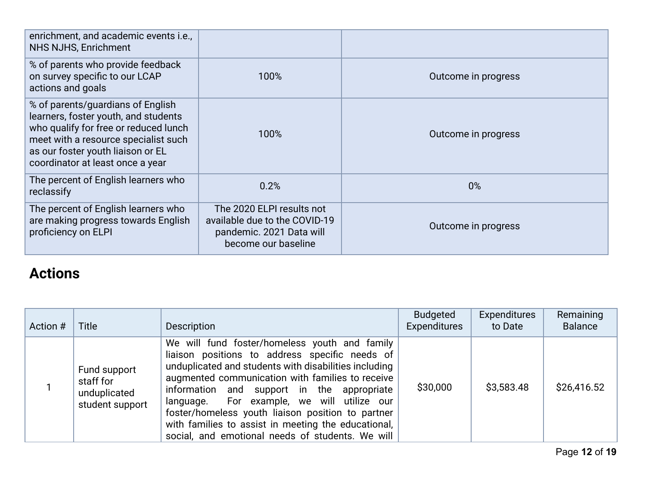| enrichment, and academic events i.e.,<br>NHS NJHS, Enrichment                                                                                                                                                                       |                                                                                                               |                     |
|-------------------------------------------------------------------------------------------------------------------------------------------------------------------------------------------------------------------------------------|---------------------------------------------------------------------------------------------------------------|---------------------|
| % of parents who provide feedback<br>on survey specific to our LCAP<br>actions and goals                                                                                                                                            | 100%                                                                                                          | Outcome in progress |
| % of parents/guardians of English<br>learners, foster youth, and students<br>who qualify for free or reduced lunch<br>meet with a resource specialist such<br>as our foster youth liaison or EL<br>coordinator at least once a year | 100%                                                                                                          | Outcome in progress |
| The percent of English learners who<br>reclassify                                                                                                                                                                                   | 0.2%                                                                                                          | 0%                  |
| The percent of English learners who<br>are making progress towards English<br>proficiency on ELPI                                                                                                                                   | The 2020 ELPI results not<br>available due to the COVID-19<br>pandemic. 2021 Data will<br>become our baseline | Outcome in progress |

## **Actions**

| Action # | <b>Title</b>                                                 | Description                                                                                                                                                                                                                                                                                                                                                                                                                                                              | Budgeted<br>Expenditures | <b>Expenditures</b><br>to Date | Remaining<br><b>Balance</b> |
|----------|--------------------------------------------------------------|--------------------------------------------------------------------------------------------------------------------------------------------------------------------------------------------------------------------------------------------------------------------------------------------------------------------------------------------------------------------------------------------------------------------------------------------------------------------------|--------------------------|--------------------------------|-----------------------------|
|          | Fund support<br>staff for<br>unduplicated<br>student support | We will fund foster/homeless youth and family<br>liaison positions to address specific needs of<br>unduplicated and students with disabilities including<br>augmented communication with families to receive<br>information and support in the appropriate<br>language. For example, we will utilize our<br>foster/homeless youth liaison position to partner<br>with families to assist in meeting the educational,<br>social, and emotional needs of students. We will | \$30,000                 | \$3,583.48                     | \$26,416.52                 |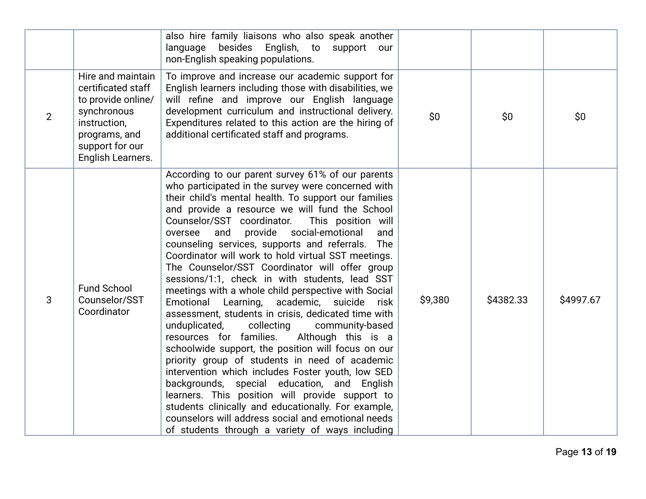|                |                                                                                                                                                       | also hire family liaisons who also speak another<br>language<br>besides English, to support our<br>non-English speaking populations.                                                                                                                                                                                                                                                                                                                                                                                                                                                                                                                                                                                                                                                                                                                                                                                                                                                                                                                                                                                                                                                                                                                |         |           |           |
|----------------|-------------------------------------------------------------------------------------------------------------------------------------------------------|-----------------------------------------------------------------------------------------------------------------------------------------------------------------------------------------------------------------------------------------------------------------------------------------------------------------------------------------------------------------------------------------------------------------------------------------------------------------------------------------------------------------------------------------------------------------------------------------------------------------------------------------------------------------------------------------------------------------------------------------------------------------------------------------------------------------------------------------------------------------------------------------------------------------------------------------------------------------------------------------------------------------------------------------------------------------------------------------------------------------------------------------------------------------------------------------------------------------------------------------------------|---------|-----------|-----------|
| $\overline{2}$ | Hire and maintain<br>certificated staff<br>to provide online/<br>synchronous<br>instruction,<br>programs, and<br>support for our<br>English Learners. | To improve and increase our academic support for<br>English learners including those with disabilities, we<br>will refine and improve our English language<br>development curriculum and instructional delivery.<br>Expenditures related to this action are the hiring of<br>additional certificated staff and programs.                                                                                                                                                                                                                                                                                                                                                                                                                                                                                                                                                                                                                                                                                                                                                                                                                                                                                                                            | \$0     | \$0\$     | \$0       |
| 3              | <b>Fund School</b><br>Counselor/SST<br>Coordinator                                                                                                    | According to our parent survey 61% of our parents<br>who participated in the survey were concerned with<br>their child's mental health. To support our families<br>and provide a resource we will fund the School<br>Counselor/SST coordinator.<br>This position will<br>provide social-emotional<br>and<br>oversee<br>and<br>counseling services, supports and referrals.<br>The<br>Coordinator will work to hold virtual SST meetings.<br>The Counselor/SST Coordinator will offer group<br>sessions/1:1, check in with students, lead SST<br>meetings with a whole child perspective with Social<br>Emotional Learning,<br>academic,<br>suicide<br>risk<br>assessment, students in crisis, dedicated time with<br>unduplicated,<br>collecting<br>community-based<br>resources for families.<br>Although this is a<br>schoolwide support, the position will focus on our<br>priority group of students in need of academic<br>intervention which includes Foster youth, low SED<br>backgrounds, special education, and English<br>learners. This position will provide support to<br>students clinically and educationally. For example,<br>counselors will address social and emotional needs<br>of students through a variety of ways including | \$9,380 | \$4382.33 | \$4997.67 |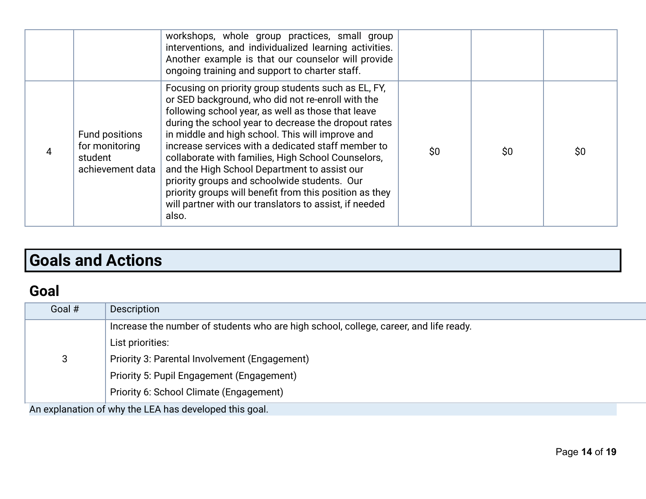|                                                                 | workshops, whole group practices, small group<br>interventions, and individualized learning activities.<br>Another example is that our counselor will provide<br>ongoing training and support to charter staff.                                                                                                                                                                                                                                                                                                                                                                                                      |     |     |     |
|-----------------------------------------------------------------|----------------------------------------------------------------------------------------------------------------------------------------------------------------------------------------------------------------------------------------------------------------------------------------------------------------------------------------------------------------------------------------------------------------------------------------------------------------------------------------------------------------------------------------------------------------------------------------------------------------------|-----|-----|-----|
| Fund positions<br>for monitoring<br>student<br>achievement data | Focusing on priority group students such as EL, FY,<br>or SED background, who did not re-enroll with the<br>following school year, as well as those that leave<br>during the school year to decrease the dropout rates<br>in middle and high school. This will improve and<br>increase services with a dedicated staff member to<br>collaborate with families, High School Counselors,<br>and the High School Department to assist our<br>priority groups and schoolwide students. Our<br>priority groups will benefit from this position as they<br>will partner with our translators to assist, if needed<br>also. | \$0 | \$0 | \$0 |

# **Goals and Actions**

### **Goal**

| Goal # | <b>Description</b>                                                                    |
|--------|---------------------------------------------------------------------------------------|
|        | Increase the number of students who are high school, college, career, and life ready. |
|        | List priorities:                                                                      |
| 3      | Priority 3: Parental Involvement (Engagement)                                         |
|        | Priority 5: Pupil Engagement (Engagement)                                             |
|        | Priority 6: School Climate (Engagement)                                               |
|        |                                                                                       |

An explanation of why the LEA has developed this goal.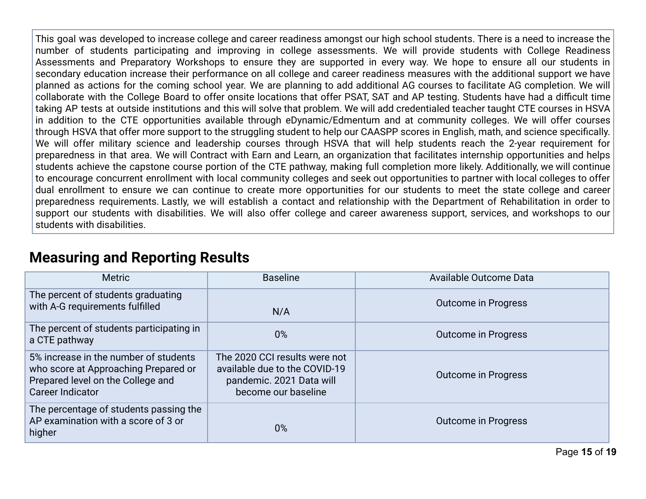This goal was developed to increase college and career readiness amongst our high school students. There is a need to increase the number of students participating and improving in college assessments. We will provide students with College Readiness Assessments and Preparatory Workshops to ensure they are supported in every way. We hope to ensure all our students in secondary education increase their performance on all college and career readiness measures with the additional support we have planned as actions for the coming school year. We are planning to add additional AG courses to facilitate AG completion. We will collaborate with the College Board to offer onsite locations that offer PSAT, SAT and AP testing. Students have had a difficult time taking AP tests at outside institutions and this will solve that problem. We will add credentialed teacher taught CTE courses in HSVA in addition to the CTE opportunities available through eDynamic/Edmentum and at community colleges. We will offer courses through HSVA that offer more support to the struggling student to help our CAASPP scores in English, math, and science specifically. We will offer military science and leadership courses through HSVA that will help students reach the 2-year requirement for preparedness in that area. We will Contract with Earn and Learn, an organization that facilitates internship opportunities and helps students achieve the capstone course portion of the CTE pathway, making full completion more likely. Additionally, we will continue to encourage concurrent enrollment with local community colleges and seek out opportunities to partner with local colleges to offer dual enrollment to ensure we can continue to create more opportunities for our students to meet the state college and career preparedness requirements. Lastly, we will establish a contact and relationship with the Department of Rehabilitation in order to support our students with disabilities. We will also offer college and career awareness support, services, and workshops to our students with disabilities.

### **Measuring and Reporting Results**

| <b>Metric</b>                                                                                                                                 | <b>Baseline</b>                                                                                                   | Available Outcome Data     |
|-----------------------------------------------------------------------------------------------------------------------------------------------|-------------------------------------------------------------------------------------------------------------------|----------------------------|
| The percent of students graduating<br>with A-G requirements fulfilled                                                                         | N/A                                                                                                               | <b>Outcome in Progress</b> |
| The percent of students participating in<br>a CTE pathway                                                                                     | 0%                                                                                                                | <b>Outcome in Progress</b> |
| 5% increase in the number of students<br>who score at Approaching Prepared or<br>Prepared level on the College and<br><b>Career Indicator</b> | The 2020 CCI results were not<br>available due to the COVID-19<br>pandemic. 2021 Data will<br>become our baseline | <b>Outcome in Progress</b> |
| The percentage of students passing the<br>AP examination with a score of 3 or<br>higher                                                       | 0%                                                                                                                | <b>Outcome in Progress</b> |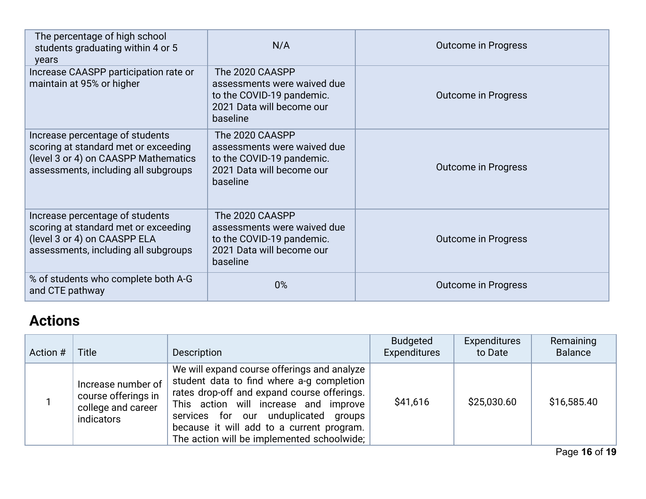| The percentage of high school<br>students graduating within 4 or 5<br>years                                                                             | N/A                                                                                                                  | <b>Outcome in Progress</b> |
|---------------------------------------------------------------------------------------------------------------------------------------------------------|----------------------------------------------------------------------------------------------------------------------|----------------------------|
| Increase CAASPP participation rate or<br>maintain at 95% or higher                                                                                      | The 2020 CAASPP<br>assessments were waived due<br>to the COVID-19 pandemic.<br>2021 Data will become our<br>baseline | <b>Outcome in Progress</b> |
| Increase percentage of students<br>scoring at standard met or exceeding<br>(level 3 or 4) on CAASPP Mathematics<br>assessments, including all subgroups | The 2020 CAASPP<br>assessments were waived due<br>to the COVID-19 pandemic.<br>2021 Data will become our<br>baseline | <b>Outcome in Progress</b> |
| Increase percentage of students<br>scoring at standard met or exceeding<br>(level 3 or 4) on CAASPP ELA<br>assessments, including all subgroups         | The 2020 CAASPP<br>assessments were waived due<br>to the COVID-19 pandemic.<br>2021 Data will become our<br>baseline | <b>Outcome in Progress</b> |
| % of students who complete both A-G<br>and CTE pathway                                                                                                  | 0%                                                                                                                   | <b>Outcome in Progress</b> |

# **Actions**

| Action # | <b>Title</b>                                                                  | Description                                                                                                                                                                                                                                                                                                         | <b>Budgeted</b><br><b>Expenditures</b> | Expenditures<br>to Date | Remaining<br><b>Balance</b> |
|----------|-------------------------------------------------------------------------------|---------------------------------------------------------------------------------------------------------------------------------------------------------------------------------------------------------------------------------------------------------------------------------------------------------------------|----------------------------------------|-------------------------|-----------------------------|
|          | Increase number of<br>course offerings in<br>college and career<br>indicators | We will expand course offerings and analyze<br>student data to find where a-g completion<br>rates drop-off and expand course offerings.<br>This action will increase and improve<br>services for our unduplicated groups<br>because it will add to a current program.<br>The action will be implemented schoolwide; | \$41,616                               | \$25,030.60             | \$16,585.40                 |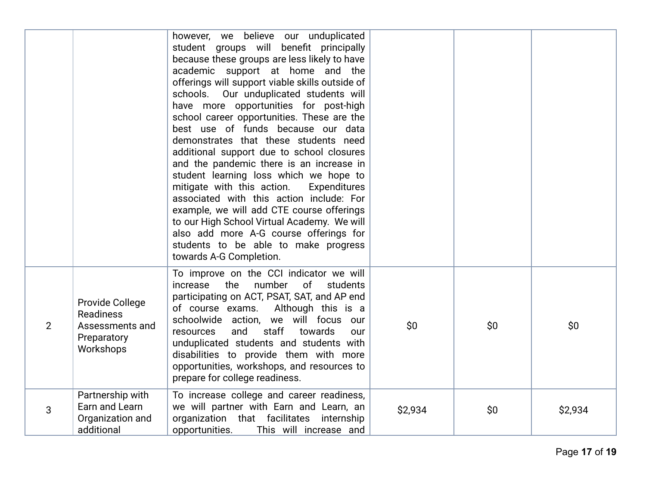|                |                                                                                    | however, we believe our unduplicated<br>student groups will benefit principally<br>because these groups are less likely to have<br>academic support at home and the<br>offerings will support viable skills outside of<br>Our unduplicated students will<br>schools.<br>have more opportunities for post-high<br>school career opportunities. These are the<br>best use of funds because our data<br>demonstrates that these students need<br>additional support due to school closures<br>and the pandemic there is an increase in<br>student learning loss which we hope to<br>mitigate with this action.<br><b>Expenditures</b><br>associated with this action include: For<br>example, we will add CTE course offerings<br>to our High School Virtual Academy. We will<br>also add more A-G course offerings for<br>students to be able to make progress<br>towards A-G Completion. |         |     |         |
|----------------|------------------------------------------------------------------------------------|-----------------------------------------------------------------------------------------------------------------------------------------------------------------------------------------------------------------------------------------------------------------------------------------------------------------------------------------------------------------------------------------------------------------------------------------------------------------------------------------------------------------------------------------------------------------------------------------------------------------------------------------------------------------------------------------------------------------------------------------------------------------------------------------------------------------------------------------------------------------------------------------|---------|-----|---------|
| $\overline{2}$ | Provide College<br><b>Readiness</b><br>Assessments and<br>Preparatory<br>Workshops | To improve on the CCI indicator we will<br>number<br>increase<br>the<br>of students<br>participating on ACT, PSAT, SAT, and AP end<br>of course exams.<br>Although this is a<br>schoolwide action, we will focus our<br>and<br>staff<br>towards<br>resources<br>our<br>unduplicated students and students with<br>disabilities to provide them with more<br>opportunities, workshops, and resources to<br>prepare for college readiness.                                                                                                                                                                                                                                                                                                                                                                                                                                                | \$0\$   | \$0 | \$0     |
| 3              | Partnership with<br>Earn and Learn<br>Organization and<br>additional               | To increase college and career readiness,<br>we will partner with Earn and Learn, an<br>organization that facilitates internship<br>opportunities.<br>This will increase and                                                                                                                                                                                                                                                                                                                                                                                                                                                                                                                                                                                                                                                                                                            | \$2,934 | \$0 | \$2,934 |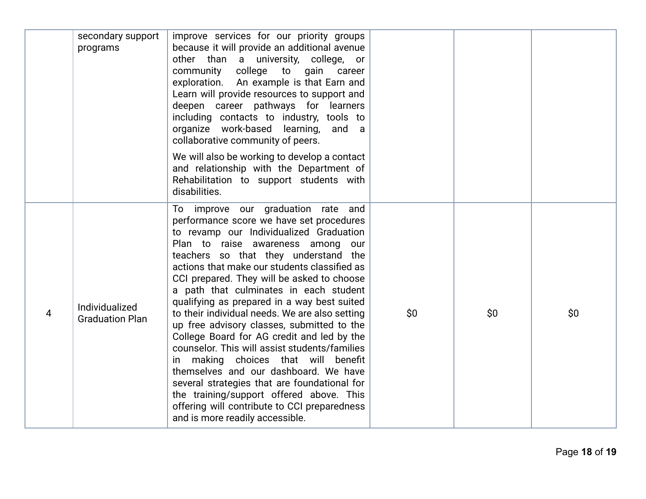|   | secondary support<br>programs            | improve services for our priority groups<br>because it will provide an additional avenue<br>other than a university, college, or<br>community college to gain career<br>exploration. An example is that Earn and<br>Learn will provide resources to support and<br>deepen career pathways for learners<br>including contacts to industry, tools to<br>organize work-based learning, and a<br>collaborative community of peers.                                                                                                                                                                                                                                                                                                                                                                                                                                 |     |     |       |
|---|------------------------------------------|----------------------------------------------------------------------------------------------------------------------------------------------------------------------------------------------------------------------------------------------------------------------------------------------------------------------------------------------------------------------------------------------------------------------------------------------------------------------------------------------------------------------------------------------------------------------------------------------------------------------------------------------------------------------------------------------------------------------------------------------------------------------------------------------------------------------------------------------------------------|-----|-----|-------|
|   |                                          | We will also be working to develop a contact<br>and relationship with the Department of<br>Rehabilitation to support students with<br>disabilities.                                                                                                                                                                                                                                                                                                                                                                                                                                                                                                                                                                                                                                                                                                            |     |     |       |
| 4 | Individualized<br><b>Graduation Plan</b> | To improve our graduation rate and<br>performance score we have set procedures<br>to revamp our Individualized Graduation<br>Plan to raise awareness among<br>our<br>teachers so that they understand the<br>actions that make our students classified as<br>CCI prepared. They will be asked to choose<br>a path that culminates in each student<br>qualifying as prepared in a way best suited<br>to their individual needs. We are also setting<br>up free advisory classes, submitted to the<br>College Board for AG credit and led by the<br>counselor. This will assist students/families<br>in making choices that will benefit<br>themselves and our dashboard. We have<br>several strategies that are foundational for<br>the training/support offered above. This<br>offering will contribute to CCI preparedness<br>and is more readily accessible. | \$0 | \$0 | \$0\$ |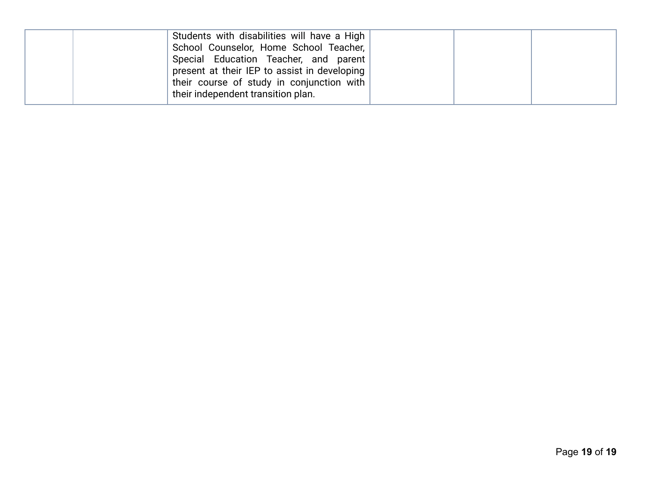| Students with disabilities will have a High  |  |  |
|----------------------------------------------|--|--|
| School Counselor, Home School Teacher,       |  |  |
| Special Education Teacher, and parent        |  |  |
| present at their IEP to assist in developing |  |  |
| their course of study in conjunction with    |  |  |
| their independent transition plan.           |  |  |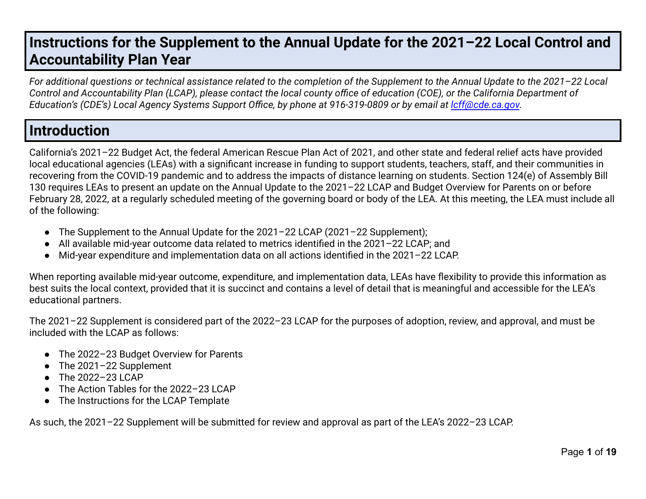### **Instructions for the Supplement to the Annual Update for the 2021–22 Local Control and Accountability Plan Year**

*For additional questions or technical assistance related to the completion of the Supplement to the Annual Update to the 2021–22 Local Control and Accountability Plan (LCAP), please contact the local county office of education (COE), or the California Department of Education's (CDE's) Local Agency Systems Support Office, by phone at 916-319-0809 or by email at [lcff@cde.ca.gov](mailto:lcff@cde.ca.gov).*

### **Introduction**

California's 2021–22 Budget Act, the federal American Rescue Plan Act of 2021, and other state and federal relief acts have provided local educational agencies (LEAs) with a significant increase in funding to support students, teachers, staff, and their communities in recovering from the COVID-19 pandemic and to address the impacts of distance learning on students. Section 124(e) of Assembly Bill 130 requires LEAs to present an update on the Annual Update to the 2021–22 LCAP and Budget Overview for Parents on or before February 28, 2022, at a regularly scheduled meeting of the governing board or body of the LEA. At this meeting, the LEA must include all of the following:

- The Supplement to the Annual Update for the 2021–22 LCAP (2021–22 Supplement);
- All available mid-year outcome data related to metrics identified in the 2021–22 LCAP; and
- Mid-year expenditure and implementation data on all actions identified in the 2021–22 LCAP.

When reporting available mid-year outcome, expenditure, and implementation data, LEAs have flexibility to provide this information as best suits the local context, provided that it is succinct and contains a level of detail that is meaningful and accessible for the LEA's educational partners.

The 2021–22 Supplement is considered part of the 2022–23 LCAP for the purposes of adoption, review, and approval, and must be included with the LCAP as follows:

- The 2022–23 Budget Overview for Parents
- The 2021-22 Supplement
- $\bullet$  The 2022-23 LCAP
- The Action Tables for the 2022-23 LCAP
- The Instructions for the LCAP Template

As such, the 2021–22 Supplement will be submitted for review and approval as part of the LEA's 2022–23 LCAP.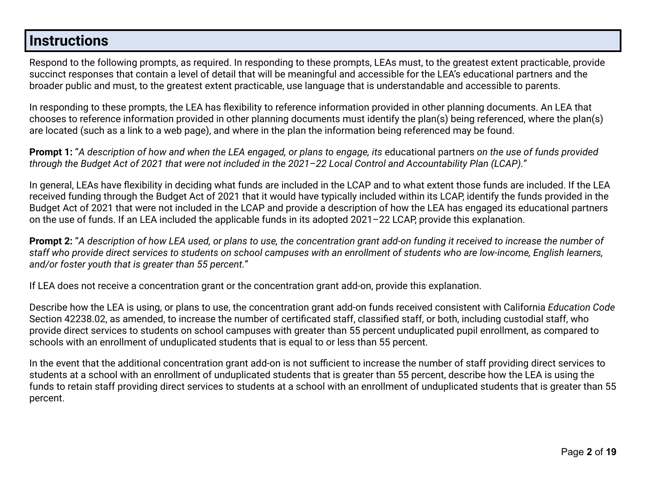#### **Instructions**

Respond to the following prompts, as required. In responding to these prompts, LEAs must, to the greatest extent practicable, provide succinct responses that contain a level of detail that will be meaningful and accessible for the LEA's educational partners and the broader public and must, to the greatest extent practicable, use language that is understandable and accessible to parents.

In responding to these prompts, the LEA has flexibility to reference information provided in other planning documents. An LEA that chooses to reference information provided in other planning documents must identify the plan(s) being referenced, where the plan(s) are located (such as a link to a web page), and where in the plan the information being referenced may be found.

**Prompt 1:** "*A description of how and when the LEA engaged, or plans to engage, its* educational partners *on the use of funds provided through the Budget Act of 2021 that were not included in the 2021–22 Local Control and Accountability Plan (LCAP).*"

In general, LEAs have flexibility in deciding what funds are included in the LCAP and to what extent those funds are included. If the LEA received funding through the Budget Act of 2021 that it would have typically included within its LCAP, identify the funds provided in the Budget Act of 2021 that were not included in the LCAP and provide a description of how the LEA has engaged its educational partners on the use of funds. If an LEA included the applicable funds in its adopted 2021–22 LCAP, provide this explanation.

**Prompt 2:** "*A description of how LEA used, or plans to use, the concentration grant add-on funding it received to increase the number of staff who provide direct services to students on school campuses with an enrollment of students who are low-income, English learners, and/or foster youth that is greater than 55 percent.*"

If LEA does not receive a concentration grant or the concentration grant add-on, provide this explanation.

Describe how the LEA is using, or plans to use, the concentration grant add-on funds received consistent with California *Education Code* Section 42238.02, as amended, to increase the number of certificated staff, classified staff, or both, including custodial staff, who provide direct services to students on school campuses with greater than 55 percent unduplicated pupil enrollment, as compared to schools with an enrollment of unduplicated students that is equal to or less than 55 percent.

In the event that the additional concentration grant add-on is not sufficient to increase the number of staff providing direct services to students at a school with an enrollment of unduplicated students that is greater than 55 percent, describe how the LEA is using the funds to retain staff providing direct services to students at a school with an enrollment of unduplicated students that is greater than 55 percent.